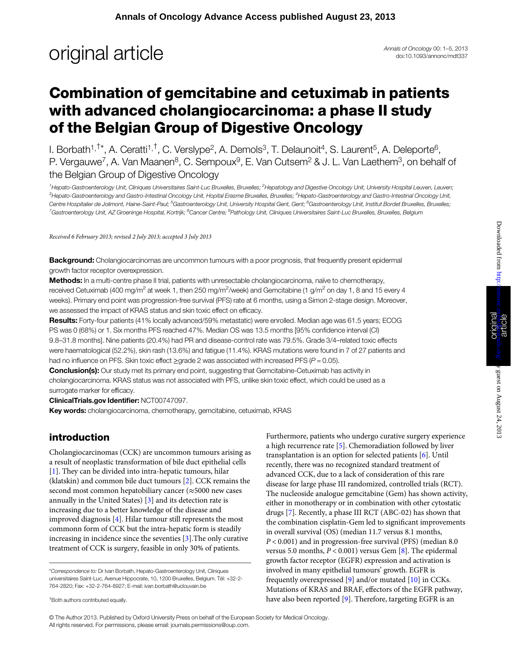## **original article** Annals of Oncology 00: 1–5, 2013

doi:10.1093/annonc/mdt337

### Combination of gemcitabine and cetuximab in patients with advanced cholangiocarcinoma: a phase II study of the Belgian Group of Digestive Oncology

I. Borbath<sup>1,†\*</sup>, A. Ceratti<sup>1,†</sup>, C. Verslype<sup>2</sup>, A. Demols<sup>3</sup>, T. Delaunoit<sup>4</sup>, S. Laurent<sup>5</sup>, A. Deleporte<sup>6</sup>, P. Vergauwe<sup>7</sup>, A. Van Maanen<sup>8</sup>, C. Sempoux<sup>9</sup>, E. Van Cutsem<sup>2</sup> & J. L. Van Laethem<sup>3</sup>, on behalf of the Belgian Group of Digestive Oncology

<sup>1</sup>Hepato-Gastroenterology Unit, Cliniques Universitaires Saint-Luc Bruxelles, Bruxelles; <sup>2</sup>Hepatology and Digestive Oncology Unit, University Hospital Leuven, Leuven; <sup>3</sup>Hepato-Gastroenterology and Gastro-Intestinal Oncology Unit, Hopital Erasme Bruxelles, Bruxelles; <sup>4</sup>Hepato-Gastroenterology and Gastro-Intestinal Oncology Unit, Centre Hospitalier de Jolimont, Haine-Saint-Paul; <sup>5</sup>Gastroenterology Unit, University Hospital Gent, Gent; <sup>6</sup>Gastroenterology Unit, Institut Bordet Bruxelles, Bruxelles; <sup>7</sup>Gastroenterology Unit, AZ Groeninge Hospital, Kortrijk; <sup>8</sup>Cancer Centre; <sup>9</sup>Pathology Unit, Cliniques Universitaires Saint-Luc Bruxelles, Bruxelles, Belgium

Received 6 February 2013; revised 2 July 2013; accepted 3 July 2013

**Background:** Cholangiocarcinomas are uncommon tumours with a poor prognosis, that frequently present epidermal growth factor receptor overexpression.

Methods: In a multi-centre phase II trial, patients with unresectable cholangiocarcinoma, naïve to chemotherapy, received Cetuximab (400 mg/m<sup>2</sup> at week 1, then 250 mg/m<sup>2</sup>/week) and Gemcitabine (1 g/m<sup>2</sup> on day 1, 8 and 15 every 4 weeks). Primary end point was progression-free survival (PFS) rate at 6 months, using a Simon 2-stage design. Moreover, we assessed the impact of KRAS status and skin toxic effect on efficacy.

Results: Forty-four patients (41% locally advanced/59% metastatic) were enrolled. Median age was 61.5 years; ECOG PS was 0 (68%) or 1. Six months PFS reached 47%. Median OS was 13.5 months [95% confidence interval (CI) 9.8–31.8 months]. Nine patients (20.4%) had PR and disease-control rate was 79.5%. Grade 3/4–related toxic effects were haematological (52.2%), skin rash (13.6%) and fatigue (11.4%). KRAS mutations were found in 7 of 27 patients and had no influence on PFS. Skin toxic effect >qrade 2 was associated with increased PFS ( $P = 0.05$ ).

**Conclusion(s):** Our study met its primary end point, suggesting that Gemcitabine-Cetuximab has activity in cholangiocarcinoma. KRAS status was not associated with PFS, unlike skin toxic effect, which could be used as a surrogate marker for efficacy.

ClinicalTrials.gov Identifier: NCT00747097.

Key words: cholangiocarcinoma, chemotherapy, gemcitabine, cetuximab, KRAS

#### introduction

<sup>†</sup>Both authors contributed equally

Cholangiocarcinomas (CCK) are uncommon tumours arising as a result of neoplastic transformation of bile duct epithelial cells [\[1\]](#page-4-0). They can be divided into intra-hepatic tumours, hilar (klatskin) and common bile duct tumours [\[2\]](#page-4-0). CCK remains the second most common hepatobiliary cancer (≈5000 new cases annually in the United States) [[3](#page-4-0)] and its detection rate is increasing due to a better knowledge of the disease and improved diagnosis [[4\]](#page-4-0). Hilar tumour still represents the most commonn form of CCK but the intra-hepatic form is steadily increasing in incidence since the seventies [[3\]](#page-4-0).The only curative treatment of CCK is surgery, feasible in only 30% of patients.

Furthermore, patients who undergo curative surgery experience a high recurrence rate [\[5\]](#page-4-0). Chemoradiation followed by liver transplantation is an option for selected patients [[6](#page-4-0)]. Until recently, there was no recognized standard treatment of advanced CCK, due to a lack of consideration of this rare disease for large phase III randomized, controlled trials (RCT). The nucleoside analogue gemcitabine (Gem) has shown activity, either in monotherapy or in combination with other cytostatic drugs [[7](#page-4-0)]. Recently, a phase III RCT (ABC-02) has shown that the combination cisplatin-Gem led to significant improvements in overall survival (OS) (median 11.7 versus 8.1 months, P < 0.001) and in progression-free survival (PFS) (median 8.0 versus 5.0 months,  $P < 0.001$ ) versus Gem [[8](#page-4-0)]. The epidermal growth factor receptor (EGFR) expression and activation is involved in many epithelial tumours' growth. EGFR is frequently overexpressed [\[9\]](#page-4-0) and/or mutated [[10\]](#page-4-0) in CCKs. Mutations of KRAS and BRAF, effectors of the EGFR pathway, have also been reported [[9\]](#page-4-0). Therefore, targeting EGFR is an

© The Author 2013. Published by Oxford University Press on behalf of the European Society for Medical Oncology. All rights reserved. For permissions, please email: journals.permissions@oup.com.

<sup>\*</sup>Correspondence to: Dr Ivan Borbath, Hepato-Gastroenterology Unit, Cliniques universitaires Saint-Luc, Avenue Hippocrate, 10, 1200 Bruxelles, Belgium. Tél: +32-2- 764-2820; Fax: +32-2-764-8927; E-mail: ivan.borbath@uclouvain.be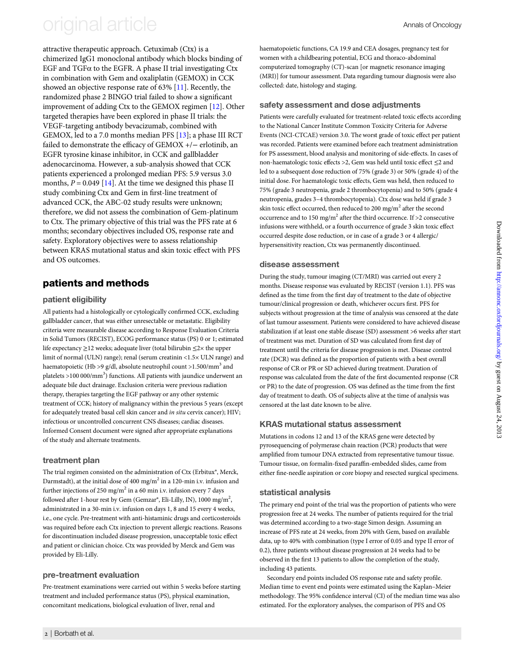## original article Annals of Oncology

attractive therapeutic approach. Cetuximab (Ctx) is a chimerized IgG1 monoclonal antibody which blocks binding of EGF and  $T$ GF $\alpha$  to the EGFR. A phase II trial investigating Ctx in combination with Gem and oxaliplatin (GEMOX) in CCK showed an objective response rate of 63% [[11\]](#page-4-0). Recently, the randomized phase 2 BINGO trial failed to show a significant improvement of adding Ctx to the GEMOX regimen [\[12](#page-4-0)]. Other targeted therapies have been explored in phase II trials: the VEGF-targeting antibody bevacizumab, combined with GEMOX, led to a 7.0 months median PFS [\[13](#page-4-0)]; a phase III RCT failed to demonstrate the efficacy of GEMOX +/− erlotinib, an EGFR tyrosine kinase inhibitor, in CCK and gallbladder adenocarcinoma. However, a sub-analysis showed that CCK patients experienced a prolonged median PFS: 5.9 versus 3.0 months,  $P = 0.049$  [[14\]](#page-4-0). At the time we designed this phase II study combining Ctx and Gem in first-line treatment of advanced CCK, the ABC-02 study results were unknown; therefore, we did not assess the combination of Gem-platinum to Ctx. The primary objective of this trial was the PFS rate at 6 months; secondary objectives included OS, response rate and safety. Exploratory objectives were to assess relationship between KRAS mutational status and skin toxic effect with PFS and OS outcomes.

### patients and methods

#### patient eligibility

All patients had a histologically or cytologically confirmed CCK, excluding gallbladder cancer, that was either unresectable or metastatic. Eligibility criteria were measurable disease according to Response Evaluation Criteria in Solid Tumors (RECIST), ECOG performance status (PS) 0 or 1; estimated life expectancy ≥12 weeks; adequate liver (total bilirubin ≤2× the upper limit of normal (ULN) range); renal (serum creatinin <1.5× ULN range) and haematopoietic (Hb >9 g/dl, absolute neutrophil count >1.500/mm<sup>3</sup> and platelets >100 000/mm<sup>3</sup>) functions. All patients with jaundice underwent an adequate bile duct drainage. Exclusion criteria were previous radiation therapy, therapies targeting the EGF pathway or any other systemic treatment of CCK; history of malignancy within the previous 5 years (except for adequately treated basal cell skin cancer and in situ cervix cancer); HIV; infectious or uncontrolled concurrent CNS diseases; cardiac diseases. Informed Consent document were signed after appropriate explanations of the study and alternate treatments.

#### treatment plan

The trial regimen consisted on the administration of Ctx (Erbitux®, Merck, Darmstadt), at the initial dose of 400 mg/m<sup>2</sup> in a 120-min i.v. infusion and further injections of 250 mg/m<sup>2</sup> in a 60 min i.v. infusion every 7 days followed after 1-hour rest by Gem (Gemzar®, Eli-Lilly, IN), 1000 mg/m<sup>2</sup>, administrated in a 30-min i.v. infusion on days 1, 8 and 15 every 4 weeks, i.e., one cycle. Pre-treatment with anti-histaminic drugs and corticosteroids was required before each Ctx injection to prevent allergic reactions. Reasons for discontinuation included disease progression, unacceptable toxic effect and patient or clinician choice. Ctx was provided by Merck and Gem was provided by Eli-Lilly.

#### pre-treatment evaluation

Pre-treatment examinations were carried out within 5 weeks before starting treatment and included performance status (PS), physical examination, concomitant medications, biological evaluation of liver, renal and

2 | Borbath et al.

haematopoietic functions, CA 19.9 and CEA dosages, pregnancy test for women with a childbearing potential, ECG and thoraco-abdominal computerized tomography (CT)-scan [or magnetic resonance imaging (MRI)] for tumour assessment. Data regarding tumour diagnosis were also collected: date, histology and staging.

#### safety assessment and dose adjustments

Patients were carefully evaluated for treatment-related toxic effects according to the National Cancer Institute Common Toxicity Criteria for Adverse Events (NCI-CTCAE) version 3.0. The worst grade of toxic effect per patient was recorded. Patients were examined before each treatment administration for PS assessment, blood analysis and monitoring of side-effects. In cases of non-haematologic toxic effects >2, Gem was held until toxic effect ≤2 and led to a subsequent dose reduction of 75% (grade 3) or 50% (grade 4) of the initial dose. For haematologic toxic effects, Gem was held, then reduced to 75% (grade 3 neutropenia, grade 2 thrombocytopenia) and to 50% (grade 4 neutropenia, grades 3–4 thrombocytopenia). Ctx dose was held if grade 3 skin toxic effect occurred, then reduced to 200 mg/m<sup>2</sup> after the second occurrence and to 150 mg/m<sup>2</sup> after the third occurrence. If  $>$ 2 consecutive infusions were withheld, or a fourth occurrence of grade 3 skin toxic effect occurred despite dose reduction, or in case of a grade 3 or 4 allergic/ hypersensitivity reaction, Ctx was permanently discontinued.

#### disease assessment

During the study, tumour imaging (CT/MRI) was carried out every 2 months. Disease response was evaluated by RECIST (version 1.1). PFS was defined as the time from the first day of treatment to the date of objective tumour/clinical progression or death, whichever occurs first. PFS for subjects without progression at the time of analysis was censored at the date of last tumour assessment. Patients were considered to have achieved disease stabilization if at least one stable disease (SD) assessment >6 weeks after start of treatment was met. Duration of SD was calculated from first day of treatment until the criteria for disease progression is met. Disease control rate (DCR) was defined as the proportion of patients with a best overall response of CR or PR or SD achieved during treatment. Duration of response was calculated from the date of the first documented response (CR or PR) to the date of progression. OS was defined as the time from the first day of treatment to death. OS of subjects alive at the time of analysis was censored at the last date known to be alive.

#### KRAS mutational status assessment

Mutations in codons 12 and 13 of the KRAS gene were detected by pyrosequencing of polymerase chain reaction (PCR) products that were amplified from tumour DNA extracted from representative tumour tissue. Tumour tissue, on formalin-fixed paraffin-embedded slides, came from either fine-needle aspiration or core biopsy and resected surgical specimens.

#### statistical analysis

The primary end point of the trial was the proportion of patients who were progression free at 24 weeks. The number of patients required for the trial was determined according to a two-stage Simon design. Assuming an increase of PFS rate at 24 weeks, from 20% with Gem, based on available data, up to 40% with combination (type I error of 0.05 and type II error of 0.2), three patients without disease progression at 24 weeks had to be observed in the first 13 patients to allow the completion of the study, including 43 patients.

Secondary end points included OS response rate and safety profile. Median time to event end points were estimated using the Kaplan–Meier methodology. The 95% confidence interval (CI) of the median time was also estimated. For the exploratory analyses, the comparison of PFS and OS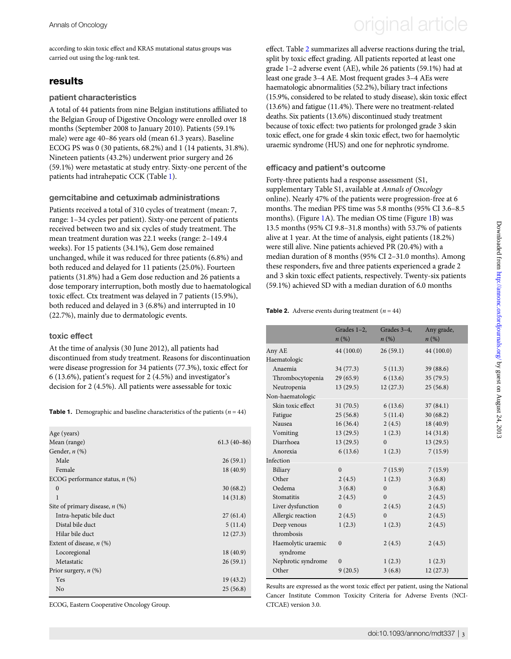according to skin toxic effect and KRAS mutational status groups was carried out using the log-rank test.

#### results

#### patient characteristics

A total of 44 patients from nine Belgian institutions affiliated to the Belgian Group of Digestive Oncology were enrolled over 18 months (September 2008 to January 2010). Patients (59.1% male) were age 40–86 years old (mean 61.3 years). Baseline ECOG PS was 0 (30 patients, 68.2%) and 1 (14 patients, 31.8%). Nineteen patients (43.2%) underwent prior surgery and 26 (59.1%) were metastatic at study entry. Sixty-one percent of the patients had intrahepatic CCK (Table 1).

#### gemcitabine and cetuximab administrations

Patients received a total of 310 cycles of treatment (mean: 7, range: 1–34 cycles per patient). Sixty-one percent of patients received between two and six cycles of study treatment. The mean treatment duration was 22.1 weeks (range: 2–149.4 weeks). For 15 patients (34.1%), Gem dose remained unchanged, while it was reduced for three patients (6.8%) and both reduced and delayed for 11 patients (25.0%). Fourteen patients (31.8%) had a Gem dose reduction and 26 patients a dose temporary interruption, both mostly due to haematological toxic effect. Ctx treatment was delayed in 7 patients (15.9%), both reduced and delayed in 3 (6.8%) and interrupted in 10 (22.7%), mainly due to dermatologic events.

#### toxic effect

At the time of analysis (30 June 2012), all patients had discontinued from study treatment. Reasons for discontinuation were disease progression for 34 patients (77.3%), toxic effect for 6 (13.6%), patient's request for 2 (4.5%) and investigator's decision for 2 (4.5%). All patients were assessable for toxic

**Table 1.** Demographic and baseline characteristics of the patients ( $n = 44$ )

| Age (years)                      |               |
|----------------------------------|---------------|
| Mean (range)                     | $61.3(40-86)$ |
| Gender, $n$ $(\%)$               |               |
| Male                             | 26(59.1)      |
| Female                           | 18 (40.9)     |
| ECOG performance status, $n$ (%) |               |
| $\Omega$                         | 30(68.2)      |
| 1                                | 14 (31.8)     |
| Site of primary disease, $n$ (%) |               |
| Intra-hepatic bile duct          | 27(61.4)      |
| Distal bile duct                 | 5(11.4)       |
| Hilar bile duct                  | 12(27.3)      |
| Extent of disease, $n$ (%)       |               |
| Locoregional                     | 18 (40.9)     |
| Metastatic                       | 26(59.1)      |
| Prior surgery, $n$ (%)           |               |
| Yes                              | 19(43.2)      |
| No                               | 25(56.8)      |

ECOG, Eastern Cooperative Oncology Group.

# Annals of Oncology **Annals of Oncology** original article

effect. Table 2 summarizes all adverse reactions during the trial, split by toxic effect grading. All patients reported at least one grade 1–2 adverse event (AE), while 26 patients (59.1%) had at least one grade 3–4 AE. Most frequent grades 3–4 AEs were haematologic abnormalities (52.2%), biliary tract infections (15.9%, considered to be related to study disease), skin toxic effect (13.6%) and fatigue (11.4%). There were no treatment-related deaths. Six patients (13.6%) discontinued study treatment because of toxic effect: two patients for prolonged grade 3 skin toxic effect, one for grade 4 skin toxic effect, two for haemolytic uraemic syndrome (HUS) and one for nephrotic syndrome.

#### efficacy and patient's outcome

Forty-three patients had a response assessment (S1, [supplementary Table S1, available at](http://annonc.oxfordjournals.org/lookup/suppl/doi:10.1093/annonc/mdt337/-/DC1) Annals of Oncology [online\)](http://annonc.oxfordjournals.org/lookup/suppl/doi:10.1093/annonc/mdt337/-/DC1). Nearly 47% of the patients were progression-free at 6 months. The median PFS time was 5.8 months (95% CI 3.6–8.5 months). (Figure [1A](#page-3-0)). The median OS time (Figure [1](#page-3-0)B) was 13.5 months (95% CI 9.8–31.8 months) with 53.7% of patients alive at 1 year. At the time of analysis, eight patients (18.2%) were still alive. Nine patients achieved PR (20.4%) with a median duration of 8 months (95% CI 2–31.0 months). Among these responders, five and three patients experienced a grade 2 and 3 skin toxic effect patients, respectively. Twenty-six patients (59.1%) achieved SD with a median duration of 6.0 months

#### **Table 2.** Adverse events during treatment  $(n = 44)$

|                                | Grades 1-2,  | Grades 3-4. | Any grade, |
|--------------------------------|--------------|-------------|------------|
|                                | $n(\%)$      | n(%)        | $n(\%)$    |
| Any AE                         | 44 (100.0)   | 26(59.1)    | 44 (100.0) |
| Haematologic                   |              |             |            |
| Anaemia                        | 34(77.3)     | 5(11.3)     | 39 (88.6)  |
| Thrombocytopenia               | 29(65.9)     | 6(13.6)     | 35(79.5)   |
| Neutropenia                    | 13(29.5)     | 12(27.3)    | 25(56.8)   |
| Non-haematologic               |              |             |            |
| Skin toxic effect              | 31(70.5)     | 6(13.6)     | 37(84.1)   |
| Fatigue                        | 25(56.8)     | 5(11.4)     | 30(68.2)   |
| Nausea                         | 16(36.4)     | 2(4.5)      | 18 (40.9)  |
| Vomiting                       | 13(29.5)     | 1(2.3)      | 14(31.8)   |
| Diarrhoea                      | 13(29.5)     | $\Omega$    | 13(29.5)   |
| Anorexia                       | 6(13.6)      | 1(2.3)      | 7(15.9)    |
| Infection                      |              |             |            |
| Biliary                        | $\theta$     | 7(15.9)     | 7(15.9)    |
| Other                          | 2(4.5)       | 1(2.3)      | 3(6.8)     |
| Oedema                         | 3(6.8)       | $\Omega$    | 3(6.8)     |
| Stomatitis                     | 2(4.5)       | $\Omega$    | 2(4.5)     |
| Liver dysfunction              | $\Omega$     | 2(4.5)      | 2(4.5)     |
| Allergic reaction              | 2(4.5)       | $\theta$    | 2(4.5)     |
| Deep venous                    | 1(2.3)       | 1(2.3)      | 2(4.5)     |
| thrombosis                     |              |             |            |
| Haemolytic uraemic<br>syndrome | $\mathbf{0}$ | 2(4.5)      | 2(4.5)     |
| Nephrotic syndrome             | $\theta$     | 1(2.3)      | 1(2.3)     |
| Other                          | 9(20.5)      | 3(6.8)      | 12(27.3)   |

Results are expressed as the worst toxic effect per patient, using the National Cancer Institute Common Toxicity Criteria for Adverse Events (NCI-CTCAE) version 3.0.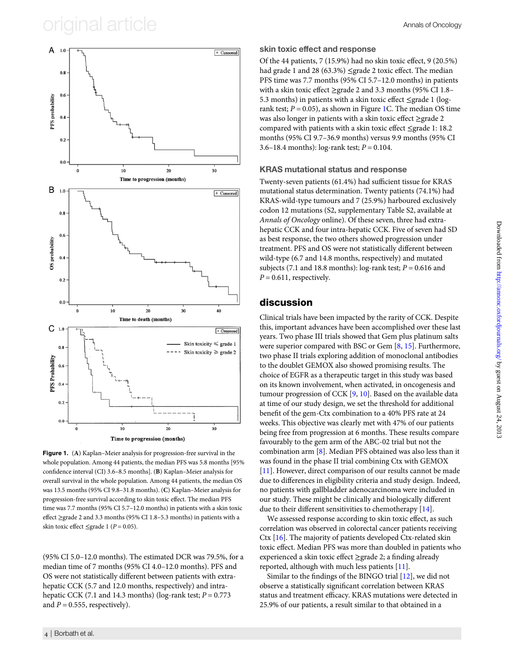### <span id="page-3-0"></span>original article  $\overline{\phantom{a}}$  annual article



Figure 1. (A) Kaplan–Meier analysis for progression-free survival in the whole population. Among 44 patients, the median PFS was 5.8 months [95% confidence interval (CI) 3.6–8.5 months]. (B) Kaplan–Meier analysis for overall survival in the whole population. Among 44 patients, the median OS was 13.5 months (95% CI 9.8–31.8 months). (C) Kaplan–Meier analysis for progression-free survival according to skin toxic effect. The median PFS time was 7.7 months (95% CI 5.7–12.0 months) in patients with a skin toxic effect ≥grade 2 and 3.3 months (95% CI 1.8–5.3 months) in patients with a skin toxic effect ≤grade 1 ( $P = 0.05$ ).

(95% CI 5.0–12.0 months). The estimated DCR was 79.5%, for a median time of 7 months (95% CI 4.0–12.0 months). PFS and OS were not statistically different between patients with extrahepatic CCK (5.7 and 12.0 months, respectively) and intrahepatic CCK (7.1 and 14.3 months) (log-rank test;  $P = 0.773$ and  $P = 0.555$ , respectively).

skin toxic effect and response Of the 44 patients, 7 (15.9%) had no skin toxic effect, 9 (20.5%) had grade 1 and 28 (63.3%) ≤grade 2 toxic effect. The median PFS time was 7.7 months (95% CI 5.7–12.0 months) in patients with a skin toxic effect ≥grade 2 and 3.3 months (95% CI 1.8– 5.3 months) in patients with a skin toxic effect ≤grade 1 (logrank test;  $P = 0.05$ ), as shown in Figure 1C. The median OS time was also longer in patients with a skin toxic effect ≥grade 2 compared with patients with a skin toxic effect ≤grade 1: 18.2 months (95% CI 9.7–36.9 months) versus 9.9 months (95% CI 3.6–18.4 months):  $log-rank test$ ;  $P = 0.104$ .

#### KRAS mutational status and response

Twenty-seven patients (61.4%) had sufficient tissue for KRAS mutational status determination. Twenty patients (74.1%) had KRAS-wild-type tumours and 7 (25.9%) harboured exclusively codon 12 mutations (S2, [supplementary Table S2, available at](http://annonc.oxfordjournals.org/lookup/suppl/doi:10.1093/annonc/mdt337/-/DC1) [Annals of Oncology](http://annonc.oxfordjournals.org/lookup/suppl/doi:10.1093/annonc/mdt337/-/DC1) online). Of these seven, three had extrahepatic CCK and four intra-hepatic CCK. Five of seven had SD as best response, the two others showed progression under treatment. PFS and OS were not statistically different between wild-type (6.7 and 14.8 months, respectively) and mutated subjects (7.1 and 18.8 months): log-rank test;  $P = 0.616$  and  $P = 0.611$ , respectively.

#### discussion

Clinical trials have been impacted by the rarity of CCK. Despite this, important advances have been accomplished over these last years. Two phase III trials showed that Gem plus platinum salts were superior compared with BSC or Gem [[8](#page-4-0), [15\]](#page-4-0). Furthermore, two phase II trials exploring addition of monoclonal antibodies to the doublet GEMOX also showed promising results. The choice of EGFR as a therapeutic target in this study was based on its known involvement, when activated, in oncogenesis and tumour progression of CCK [\[9,](#page-4-0) [10](#page-4-0)]. Based on the available data at time of our study design, we set the threshold for additional benefit of the gem-Ctx combination to a 40% PFS rate at 24 weeks. This objective was clearly met with 47% of our patients being free from progression at 6 months. These results compare favourably to the gem arm of the ABC-02 trial but not the combination arm [\[8\]](#page-4-0). Median PFS obtained was also less than it was found in the phase II trial combining Ctx with GEMOX [[11\]](#page-4-0). However, direct comparison of our results cannot be made due to differences in eligibility criteria and study design. Indeed, no patients with gallbladder adenocarcinoma were included in our study. These might be clinically and biologically different due to their different sensitivities to chemotherapy [[14](#page-4-0)].

We assessed response according to skin toxic effect, as such correlation was observed in colorectal cancer patients receiving Ctx [\[16](#page-4-0)]. The majority of patients developed Ctx-related skin toxic effect. Median PFS was more than doubled in patients who experienced a skin toxic effect ≥grade 2; a finding already reported, although with much less patients [\[11](#page-4-0)].

Similar to the findings of the BINGO trial [[12\]](#page-4-0), we did not observe a statistically significant correlation between KRAS status and treatment efficacy. KRAS mutations were detected in 25.9% of our patients, a result similar to that obtained in a